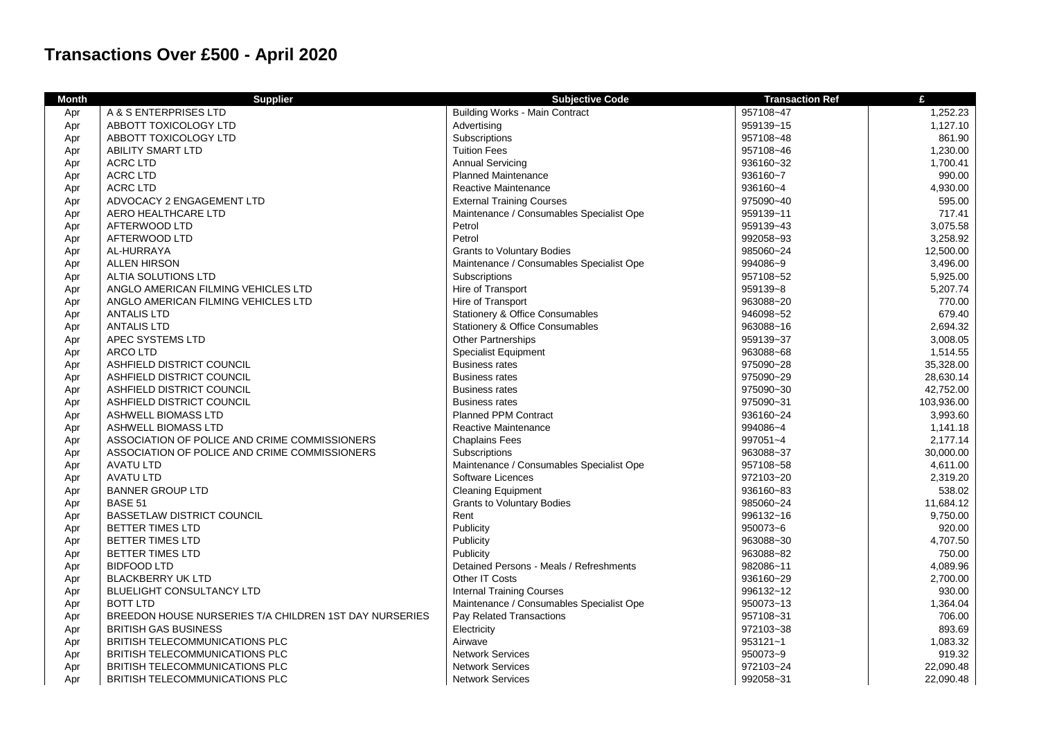## **Transactions Over £500 - April 2020**

| <b>Month</b> | <b>Supplier</b>                                        | <b>Subjective Code</b>                     | <b>Transaction Ref</b> | £          |
|--------------|--------------------------------------------------------|--------------------------------------------|------------------------|------------|
| Apr          | A & S ENTERPRISES LTD                                  | <b>Building Works - Main Contract</b>      | 957108~47              | 1,252.23   |
| Apr          | ABBOTT TOXICOLOGY LTD                                  | Advertising                                | 959139~15              | 1,127.10   |
| Apr          | ABBOTT TOXICOLOGY LTD                                  | Subscriptions                              | 957108~48              | 861.90     |
| Apr          | <b>ABILITY SMART LTD</b>                               | <b>Tuition Fees</b>                        | 957108~46              | 1,230.00   |
| Apr          | <b>ACRC LTD</b>                                        | <b>Annual Servicing</b>                    | 936160~32              | 1,700.41   |
| Apr          | <b>ACRC LTD</b>                                        | <b>Planned Maintenance</b>                 | 936160~7               | 990.00     |
| Apr          | <b>ACRC LTD</b>                                        | Reactive Maintenance                       | 936160~4               | 4,930.00   |
| Apr          | ADVOCACY 2 ENGAGEMENT LTD                              | <b>External Training Courses</b>           | 975090~40              | 595.00     |
| Apr          | AERO HEALTHCARE LTD                                    | Maintenance / Consumables Specialist Ope   | 959139~11              | 717.41     |
| Apr          | AFTERWOOD LTD                                          | Petrol                                     | 959139~43              | 3,075.58   |
| Apr          | AFTERWOOD LTD                                          | Petrol                                     | 992058~93              | 3,258.92   |
| Apr          | AL-HURRAYA                                             | <b>Grants to Voluntary Bodies</b>          | 985060~24              | 12,500.00  |
| Apr          | <b>ALLEN HIRSON</b>                                    | Maintenance / Consumables Specialist Ope   | 994086~9               | 3,496.00   |
| Apr          | ALTIA SOLUTIONS LTD                                    | Subscriptions                              | 957108~52              | 5,925.00   |
| Apr          | ANGLO AMERICAN FILMING VEHICLES LTD                    | Hire of Transport                          | 959139~8               | 5,207.74   |
| Apr          | ANGLO AMERICAN FILMING VEHICLES LTD                    | Hire of Transport                          | 963088~20              | 770.00     |
| Apr          | <b>ANTALIS LTD</b>                                     | Stationery & Office Consumables            | 946098~52              | 679.40     |
| Apr          | <b>ANTALIS LTD</b>                                     | <b>Stationery &amp; Office Consumables</b> | 963088~16              | 2,694.32   |
| Apr          | APEC SYSTEMS LTD                                       | Other Partnerships                         | 959139~37              | 3,008.05   |
| Apr          | <b>ARCO LTD</b>                                        | <b>Specialist Equipment</b>                | 963088~68              | 1,514.55   |
| Apr          | ASHFIELD DISTRICT COUNCIL                              | <b>Business rates</b>                      | 975090~28              | 35,328.00  |
| Apr          | ASHFIELD DISTRICT COUNCIL                              | <b>Business rates</b>                      | 975090~29              | 28.630.14  |
| Apr          | ASHFIELD DISTRICT COUNCIL                              | <b>Business rates</b>                      | 975090~30              | 42,752.00  |
| Apr          | ASHFIELD DISTRICT COUNCIL                              | <b>Business rates</b>                      | 975090~31              | 103,936.00 |
| Apr          | <b>ASHWELL BIOMASS LTD</b>                             | <b>Planned PPM Contract</b>                | 936160~24              | 3,993.60   |
| Apr          | <b>ASHWELL BIOMASS LTD</b>                             | Reactive Maintenance                       | 994086~4               | 1,141.18   |
| Apr          | ASSOCIATION OF POLICE AND CRIME COMMISSIONERS          | <b>Chaplains Fees</b>                      | 997051~4               | 2,177.14   |
| Apr          | ASSOCIATION OF POLICE AND CRIME COMMISSIONERS          | Subscriptions                              | 963088~37              | 30,000.00  |
| Apr          | <b>AVATU LTD</b>                                       | Maintenance / Consumables Specialist Ope   | 957108~58              | 4,611.00   |
| Apr          | <b>AVATU LTD</b>                                       | Software Licences                          | 972103~20              | 2,319.20   |
| Apr          | <b>BANNER GROUP LTD</b>                                | <b>Cleaning Equipment</b>                  | 936160~83              | 538.02     |
| Apr          | BASE 51                                                | <b>Grants to Voluntary Bodies</b>          | 985060~24              | 11,684.12  |
| Apr          | <b>BASSETLAW DISTRICT COUNCIL</b>                      | Rent                                       | 996132~16              | 9,750.00   |
| Apr          | <b>BETTER TIMES LTD</b>                                | Publicity                                  | 950073~6               | 920.00     |
| Apr          | <b>BETTER TIMES LTD</b>                                | Publicity                                  | 963088~30              | 4,707.50   |
| Apr          | BETTER TIMES LTD                                       | Publicity                                  | 963088~82              | 750.00     |
| Apr          | <b>BIDFOOD LTD</b>                                     | Detained Persons - Meals / Refreshments    | 982086~11              | 4,089.96   |
| Apr          | <b>BLACKBERRY UK LTD</b>                               | Other IT Costs                             | 936160~29              | 2,700.00   |
| Apr          | <b>BLUELIGHT CONSULTANCY LTD</b>                       | <b>Internal Training Courses</b>           | 996132~12              | 930.00     |
| Apr          | <b>BOTT LTD</b>                                        | Maintenance / Consumables Specialist Ope   | 950073~13              | 1,364.04   |
| Apr          | BREEDON HOUSE NURSERIES T/A CHILDREN 1ST DAY NURSERIES | Pay Related Transactions                   | 957108~31              | 706.00     |
| Apr          | <b>BRITISH GAS BUSINESS</b>                            | Electricity                                | 972103~38              | 893.69     |
| Apr          | <b>BRITISH TELECOMMUNICATIONS PLC</b>                  | Airwave                                    | 953121~1               | 1,083.32   |
| Apr          | <b>BRITISH TELECOMMUNICATIONS PLC</b>                  | <b>Network Services</b>                    | 950073~9               | 919.32     |
| Apr          | BRITISH TELECOMMUNICATIONS PLC                         | <b>Network Services</b>                    | 972103~24              | 22,090.48  |
| Apr          | BRITISH TELECOMMUNICATIONS PLC                         | <b>Network Services</b>                    | 992058~31              | 22,090.48  |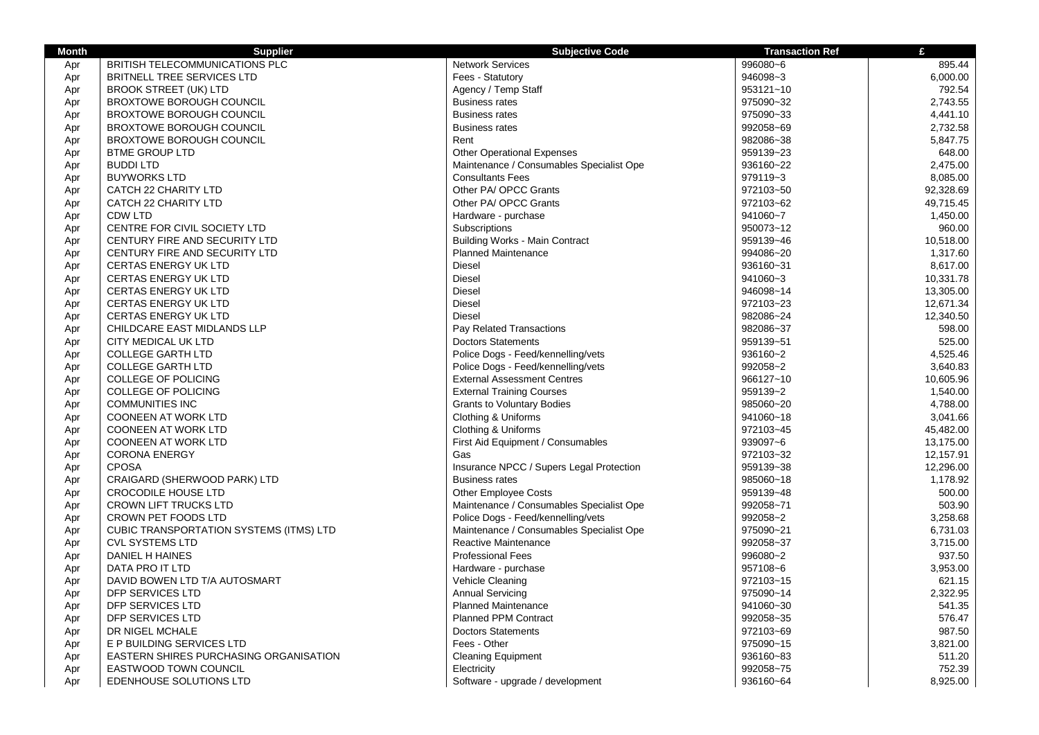| <b>Month</b> | <b>Supplier</b>                                | <b>Subjective Code</b>                   | <b>Transaction Ref</b> | £         |
|--------------|------------------------------------------------|------------------------------------------|------------------------|-----------|
| Apr          | BRITISH TELECOMMUNICATIONS PLC                 | <b>Network Services</b>                  | 996080~6               | 895.44    |
| Apr          | BRITNELL TREE SERVICES LTD                     | Fees - Statutory                         | 946098~3               | 6,000.00  |
| Apr          | <b>BROOK STREET (UK) LTD</b>                   | Agency / Temp Staff                      | 953121~10              | 792.54    |
| Apr          | <b>BROXTOWE BOROUGH COUNCIL</b>                | <b>Business rates</b>                    | 975090~32              | 2.743.55  |
| Apr          | <b>BROXTOWE BOROUGH COUNCIL</b>                | <b>Business rates</b>                    | 975090~33              | 4,441.10  |
| Apr          | <b>BROXTOWE BOROUGH COUNCIL</b>                | <b>Business rates</b>                    | 992058~69              | 2,732.58  |
| Apr          | <b>BROXTOWE BOROUGH COUNCIL</b>                | Rent                                     | 982086~38              | 5,847.75  |
| Apr          | <b>BTME GROUP LTD</b>                          | <b>Other Operational Expenses</b>        | 959139~23              | 648.00    |
| Apr          | <b>BUDDI LTD</b>                               | Maintenance / Consumables Specialist Ope | 936160~22              | 2,475.00  |
| Apr          | <b>BUYWORKS LTD</b>                            | <b>Consultants Fees</b>                  | 979119~3               | 8,085.00  |
| Apr          | CATCH 22 CHARITY LTD                           | Other PA/ OPCC Grants                    | 972103~50              | 92,328.69 |
| Apr          | CATCH 22 CHARITY LTD                           | Other PA/ OPCC Grants                    | 972103~62              | 49,715.45 |
| Apr          | <b>CDW LTD</b>                                 | Hardware - purchase                      | 941060~7               | 1,450.00  |
| Apr          | CENTRE FOR CIVIL SOCIETY LTD                   | Subscriptions                            | 950073~12              | 960.00    |
| Apr          | CENTURY FIRE AND SECURITY LTD                  | <b>Building Works - Main Contract</b>    | 959139~46              | 10,518.00 |
| Apr          | <b>CENTURY FIRE AND SECURITY LTD</b>           | <b>Planned Maintenance</b>               | 994086~20              | 1,317.60  |
| Apr          | <b>CERTAS ENERGY UK LTD</b>                    | <b>Diesel</b>                            | 936160~31              | 8,617.00  |
| Apr          | <b>CERTAS ENERGY UK LTD</b>                    | <b>Diesel</b>                            | 941060~3               | 10,331.78 |
| Apr          | <b>CERTAS ENERGY UK LTD</b>                    | Diesel                                   | 946098~14              | 13,305.00 |
| Apr          | <b>CERTAS ENERGY UK LTD</b>                    | <b>Diesel</b>                            | 972103~23              | 12,671.34 |
| Apr          | <b>CERTAS ENERGY UK LTD</b>                    | <b>Diesel</b>                            | 982086~24              | 12,340.50 |
| Apr          | CHILDCARE EAST MIDLANDS LLP                    | Pay Related Transactions                 | 982086~37              | 598.00    |
| Apr          | <b>CITY MEDICAL UK LTD</b>                     | <b>Doctors Statements</b>                | 959139~51              | 525.00    |
| Apr          | <b>COLLEGE GARTH LTD</b>                       | Police Dogs - Feed/kennelling/vets       | 936160~2               | 4,525.46  |
| Apr          | <b>COLLEGE GARTH LTD</b>                       | Police Dogs - Feed/kennelling/vets       | 992058~2               | 3,640.83  |
| Apr          | <b>COLLEGE OF POLICING</b>                     | <b>External Assessment Centres</b>       | 966127~10              | 10,605.96 |
| Apr          | COLLEGE OF POLICING                            | <b>External Training Courses</b>         | 959139~2               | 1,540.00  |
| Apr          | <b>COMMUNITIES INC</b>                         | <b>Grants to Voluntary Bodies</b>        | 985060~20              | 4,788.00  |
| Apr          | <b>COONEEN AT WORK LTD</b>                     | Clothing & Uniforms                      | 941060~18              | 3,041.66  |
| Apr          | <b>COONEEN AT WORK LTD</b>                     | Clothing & Uniforms                      | 972103~45              | 45,482.00 |
| Apr          | <b>COONEEN AT WORK LTD</b>                     | First Aid Equipment / Consumables        | 939097~6               | 13,175.00 |
| Apr          | <b>CORONA ENERGY</b>                           | Gas                                      | 972103~32              | 12,157.91 |
| Apr          | <b>CPOSA</b>                                   | Insurance NPCC / Supers Legal Protection | 959139~38              | 12,296.00 |
| Apr          | CRAIGARD (SHERWOOD PARK) LTD                   | <b>Business rates</b>                    | 985060~18              | 1,178.92  |
| Apr          | <b>CROCODILE HOUSE LTD</b>                     | <b>Other Employee Costs</b>              | 959139~48              | 500.00    |
| Apr          | CROWN LIFT TRUCKS LTD                          | Maintenance / Consumables Specialist Ope | 992058~71              | 503.90    |
| Apr          | CROWN PET FOODS LTD                            | Police Dogs - Feed/kennelling/vets       | 992058~2               | 3,258.68  |
| Apr          | <b>CUBIC TRANSPORTATION SYSTEMS (ITMS) LTD</b> | Maintenance / Consumables Specialist Ope | 975090~21              | 6,731.03  |
| Apr          | <b>CVL SYSTEMS LTD</b>                         | Reactive Maintenance                     | 992058~37              | 3,715.00  |
| Apr          | DANIEL H HAINES                                | <b>Professional Fees</b>                 | 996080~2               | 937.50    |
| Apr          | DATA PRO IT LTD                                | Hardware - purchase                      | 957108~6               | 3,953.00  |
| Apr          | DAVID BOWEN LTD T/A AUTOSMART                  | <b>Vehicle Cleaning</b>                  | 972103~15              | 621.15    |
| Apr          | DFP SERVICES LTD                               | <b>Annual Servicing</b>                  | 975090~14              | 2,322.95  |
| Apr          | DFP SERVICES LTD                               | <b>Planned Maintenance</b>               | 941060~30              | 541.35    |
| Apr          | DFP SERVICES LTD                               | <b>Planned PPM Contract</b>              | 992058~35              | 576.47    |
| Apr          | DR NIGEL MCHALE                                | <b>Doctors Statements</b>                | 972103~69              | 987.50    |
| Apr          | E P BUILDING SERVICES LTD                      | Fees - Other                             | 975090~15              | 3,821.00  |
| Apr          | EASTERN SHIRES PURCHASING ORGANISATION         | <b>Cleaning Equipment</b>                | 936160~83              | 511.20    |
| Apr          | EASTWOOD TOWN COUNCIL                          | Electricity                              | 992058~75              | 752.39    |
| Apr          | EDENHOUSE SOLUTIONS LTD                        | Software - upgrade / development         | 936160~64              | 8,925.00  |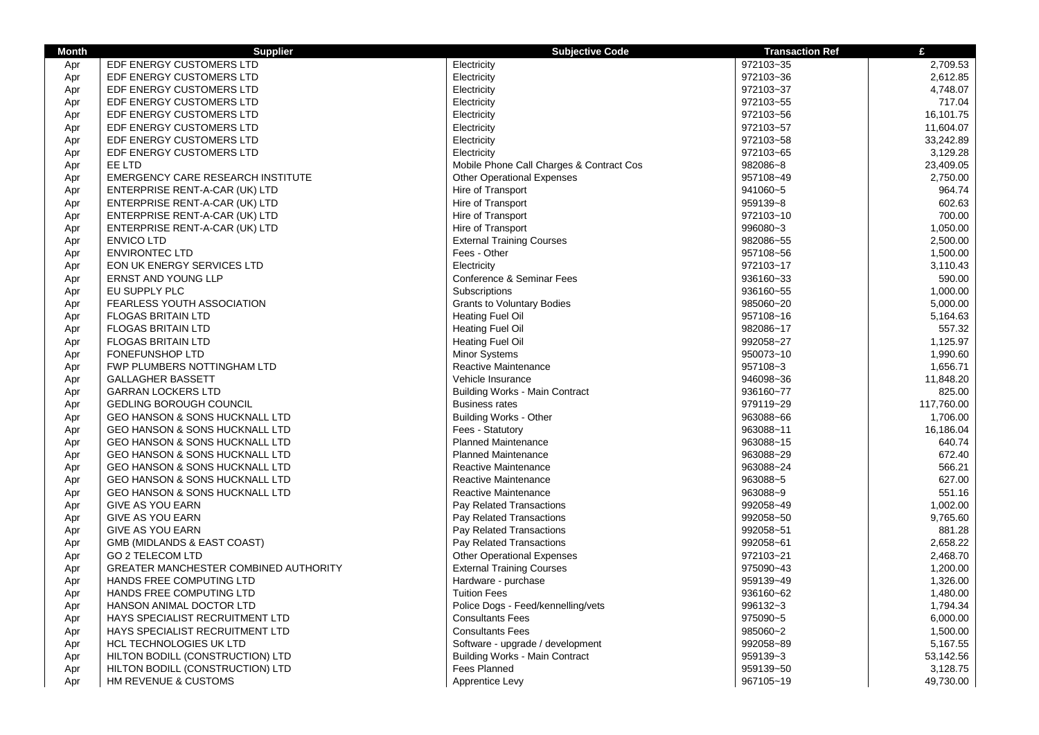| <b>Month</b> | <b>Supplier</b>                           | <b>Subjective Code</b>                   | <b>Transaction Ref</b> | £          |
|--------------|-------------------------------------------|------------------------------------------|------------------------|------------|
| Apr          | EDF ENERGY CUSTOMERS LTD                  | Electricity                              | 972103~35              | 2,709.53   |
| Apr          | EDF ENERGY CUSTOMERS LTD                  | Electricity                              | 972103~36              | 2,612.85   |
| Apr          | EDF ENERGY CUSTOMERS LTD                  | Electricity                              | 972103~37              | 4,748.07   |
| Apr          | EDF ENERGY CUSTOMERS LTD                  | Electricity                              | 972103~55              | 717.04     |
| Apr          | EDF ENERGY CUSTOMERS LTD                  | Electricity                              | 972103~56              | 16,101.75  |
| Apr          | EDF ENERGY CUSTOMERS LTD                  | Electricity                              | 972103~57              | 11,604.07  |
| Apr          | EDF ENERGY CUSTOMERS LTD                  | Electricity                              | 972103~58              | 33,242.89  |
| Apr          | EDF ENERGY CUSTOMERS LTD                  | Electricity                              | 972103~65              | 3,129.28   |
| Apr          | EE LTD                                    | Mobile Phone Call Charges & Contract Cos | 982086~8               | 23,409.05  |
| Apr          | <b>EMERGENCY CARE RESEARCH INSTITUTE</b>  | <b>Other Operational Expenses</b>        | 957108~49              | 2,750.00   |
| Apr          | ENTERPRISE RENT-A-CAR (UK) LTD            | Hire of Transport                        | 941060~5               | 964.74     |
| Apr          | ENTERPRISE RENT-A-CAR (UK) LTD            | Hire of Transport                        | 959139~8               | 602.63     |
| Apr          | ENTERPRISE RENT-A-CAR (UK) LTD            | Hire of Transport                        | 972103~10              | 700.00     |
| Apr          | ENTERPRISE RENT-A-CAR (UK) LTD            | Hire of Transport                        | 996080~3               | 1,050.00   |
| Apr          | <b>ENVICO LTD</b>                         | <b>External Training Courses</b>         | 982086~55              | 2,500.00   |
| Apr          | <b>ENVIRONTEC LTD</b>                     | Fees - Other                             | 957108~56              | 1,500.00   |
| Apr          | EON UK ENERGY SERVICES LTD                | Electricity                              | 972103~17              | 3,110.43   |
| Apr          | <b>ERNST AND YOUNG LLP</b>                | Conference & Seminar Fees                | 936160~33              | 590.00     |
| Apr          | EU SUPPLY PLC                             | Subscriptions                            | 936160~55              | 1,000.00   |
| Apr          | <b>FEARLESS YOUTH ASSOCIATION</b>         | <b>Grants to Voluntary Bodies</b>        | 985060~20              | 5,000.00   |
| Apr          | <b>FLOGAS BRITAIN LTD</b>                 | <b>Heating Fuel Oil</b>                  | 957108~16              | 5,164.63   |
| Apr          | <b>FLOGAS BRITAIN LTD</b>                 | <b>Heating Fuel Oil</b>                  | 982086~17              | 557.32     |
| Apr          | <b>FLOGAS BRITAIN LTD</b>                 | Heating Fuel Oil                         | 992058~27              | 1,125.97   |
| Apr          | <b>FONEFUNSHOP LTD</b>                    | <b>Minor Systems</b>                     | 950073~10              | 1,990.60   |
| Apr          | FWP PLUMBERS NOTTINGHAM LTD               | Reactive Maintenance                     | 957108~3               | 1,656.71   |
| Apr          | <b>GALLAGHER BASSETT</b>                  | Vehicle Insurance                        | 946098~36              | 11,848.20  |
| Apr          | <b>GARRAN LOCKERS LTD</b>                 | <b>Building Works - Main Contract</b>    | 936160~77              | 825.00     |
| Apr          | <b>GEDLING BOROUGH COUNCIL</b>            | <b>Business rates</b>                    | 979119~29              | 117,760.00 |
| Apr          | <b>GEO HANSON &amp; SONS HUCKNALL LTD</b> | <b>Building Works - Other</b>            | 963088~66              | 1,706.00   |
| Apr          | <b>GEO HANSON &amp; SONS HUCKNALL LTD</b> | Fees - Statutory                         | 963088~11              | 16,186.04  |
| Apr          | GEO HANSON & SONS HUCKNALL LTD            | <b>Planned Maintenance</b>               | 963088~15              | 640.74     |
| Apr          | GEO HANSON & SONS HUCKNALL LTD            | <b>Planned Maintenance</b>               | 963088~29              | 672.40     |
| Apr          | GEO HANSON & SONS HUCKNALL LTD            | Reactive Maintenance                     | 963088~24              | 566.21     |
| Apr          | <b>GEO HANSON &amp; SONS HUCKNALL LTD</b> | Reactive Maintenance                     | 963088~5               | 627.00     |
| Apr          | <b>GEO HANSON &amp; SONS HUCKNALL LTD</b> | Reactive Maintenance                     | 963088~9               | 551.16     |
| Apr          | <b>GIVE AS YOU EARN</b>                   | Pay Related Transactions                 | 992058~49              | 1,002.00   |
| Apr          | <b>GIVE AS YOU EARN</b>                   | Pay Related Transactions                 | 992058~50              | 9,765.60   |
| Apr          | <b>GIVE AS YOU EARN</b>                   | Pay Related Transactions                 | 992058~51              | 881.28     |
| Apr          | GMB (MIDLANDS & EAST COAST)               | Pay Related Transactions                 | 992058~61              | 2,658.22   |
| Apr          | GO 2 TELECOM LTD                          | <b>Other Operational Expenses</b>        | 972103~21              | 2,468.70   |
| Apr          | GREATER MANCHESTER COMBINED AUTHORITY     | <b>External Training Courses</b>         | 975090~43              | 1,200.00   |
| Apr          | HANDS FREE COMPUTING LTD                  | Hardware - purchase                      | 959139~49              | 1,326.00   |
| Apr          | HANDS FREE COMPUTING LTD                  | <b>Tuition Fees</b>                      | 936160~62              | 1,480.00   |
| Apr          | HANSON ANIMAL DOCTOR LTD                  | Police Dogs - Feed/kennelling/vets       | 996132~3               | 1,794.34   |
| Apr          | HAYS SPECIALIST RECRUITMENT LTD           | <b>Consultants Fees</b>                  | 975090~5               | 6,000.00   |
| Apr          | HAYS SPECIALIST RECRUITMENT LTD           | <b>Consultants Fees</b>                  | 985060~2               | 1,500.00   |
| Apr          | HCL TECHNOLOGIES UK LTD                   | Software - upgrade / development         | 992058~89              | 5,167.55   |
| Apr          | HILTON BODILL (CONSTRUCTION) LTD          | Building Works - Main Contract           | 959139~3               | 53,142.56  |
| Apr          | HILTON BODILL (CONSTRUCTION) LTD          | <b>Fees Planned</b>                      | 959139~50              | 3,128.75   |
| Apr          | HM REVENUE & CUSTOMS                      | Apprentice Levy                          | 967105~19              | 49,730.00  |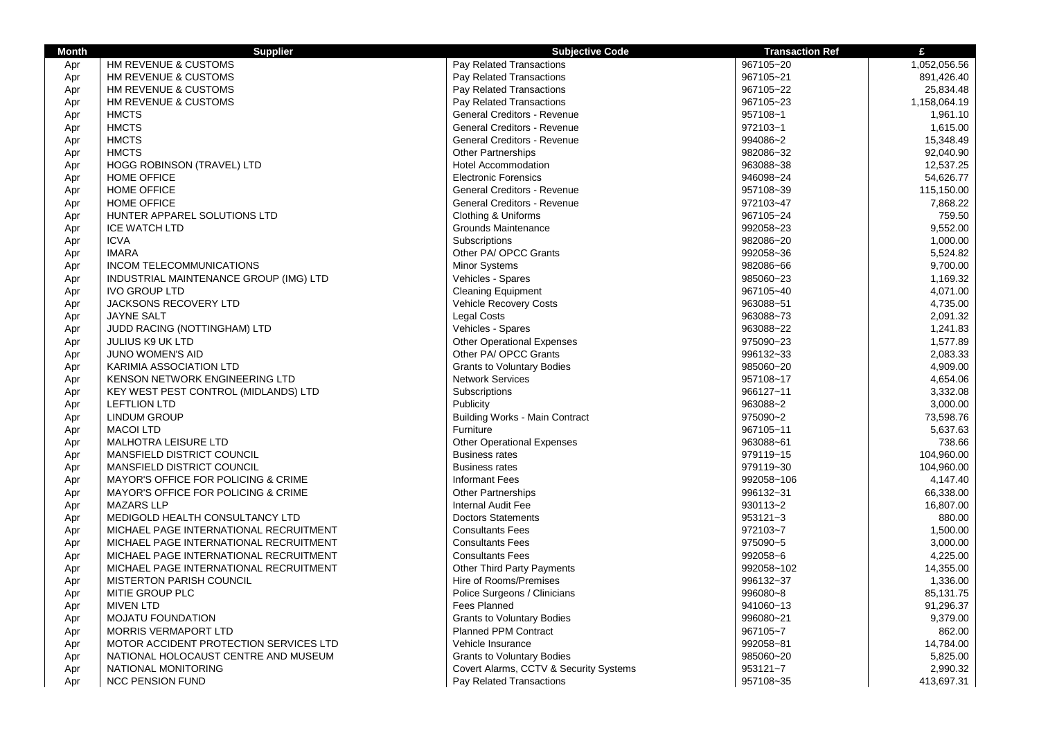| Pay Related Transactions<br>HM REVENUE & CUSTOMS<br>967105~20<br>1,052,056.56<br>Apr<br>HM REVENUE & CUSTOMS<br>Pay Related Transactions<br>967105~21<br>891,426.40<br>Apr<br>HM REVENUE & CUSTOMS<br>Pay Related Transactions<br>967105~22<br>25,834.48<br>Apr<br>Pay Related Transactions<br>967105~23<br>HM REVENUE & CUSTOMS<br>1,158,064.19<br>Apr<br><b>HMCTS</b><br>General Creditors - Revenue<br>957108~1<br>1,961.10<br>Apr<br><b>HMCTS</b><br>General Creditors - Revenue<br>972103~1<br>Apr<br>1,615.00<br>994086~2<br><b>HMCTS</b><br>General Creditors - Revenue<br>15,348.49<br>Apr<br><b>HMCTS</b><br>982086~32<br><b>Other Partnerships</b><br>92,040.90<br>Apr<br>963088~38<br><b>HOGG ROBINSON (TRAVEL) LTD</b><br>Hotel Accommodation<br>12,537.25<br>Apr<br>946098~24<br><b>HOME OFFICE</b><br><b>Electronic Forensics</b><br>54,626.77<br>Apr<br><b>HOME OFFICE</b><br>General Creditors - Revenue<br>957108~39<br>Apr<br>115,150.00<br><b>HOME OFFICE</b><br><b>General Creditors - Revenue</b><br>972103~47<br>7,868.22<br>Apr<br>HUNTER APPAREL SOLUTIONS LTD<br>Clothing & Uniforms<br>967105~24<br>759.50<br>Apr<br><b>ICE WATCH LTD</b><br>Grounds Maintenance<br>992058~23<br>9,552.00<br>Apr<br>Subscriptions<br>982086~20<br>1,000.00<br>Apr<br><b>ICVA</b><br>Other PA/ OPCC Grants<br>992058~36<br>5,524.82<br><b>IMARA</b><br>Apr<br>INCOM TELECOMMUNICATIONS<br><b>Minor Systems</b><br>982086~66<br>9,700.00<br>Apr<br>INDUSTRIAL MAINTENANCE GROUP (IMG) LTD<br>Vehicles - Spares<br>985060~23<br>1,169.32<br>Apr<br><b>IVO GROUP LTD</b><br><b>Cleaning Equipment</b><br>967105~40<br>4,071.00<br>Apr<br>JACKSONS RECOVERY LTD<br><b>Vehicle Recovery Costs</b><br>963088~51<br>4,735.00<br>Apr<br><b>Legal Costs</b><br>963088~73<br>Apr<br><b>JAYNE SALT</b><br>2,091.32<br>Vehicles - Spares<br>963088~22<br>Apr<br>JUDD RACING (NOTTINGHAM) LTD<br>1,241.83<br><b>Other Operational Expenses</b><br>975090~23<br>Apr<br><b>JULIUS K9 UK LTD</b><br>1,577.89<br>Other PA/ OPCC Grants<br>996132~33<br>Apr<br><b>JUNO WOMEN'S AID</b><br>2,083.33<br><b>KARIMIA ASSOCIATION LTD</b><br><b>Grants to Voluntary Bodies</b><br>985060~20<br>4,909.00<br>Apr<br>KENSON NETWORK ENGINEERING LTD<br><b>Network Services</b><br>957108~17<br>4,654.06<br>Apr<br>966127~11<br>3,332.08<br>KEY WEST PEST CONTROL (MIDLANDS) LTD<br>Subscriptions<br>Apr<br>Publicity<br>963088~2<br>3,000.00<br>Apr<br><b>LEFTLION LTD</b><br><b>LINDUM GROUP</b><br><b>Building Works - Main Contract</b><br>975090~2<br>73,598.76<br>Apr<br>967105~11<br><b>MACOI LTD</b><br>Furniture<br>5,637.63<br>Apr<br><b>Other Operational Expenses</b><br>963088~61<br>738.66<br>Apr<br><b>MALHOTRA LEISURE LTD</b><br>979119~15<br>104,960.00<br>Apr<br>MANSFIELD DISTRICT COUNCIL<br><b>Business rates</b><br>979119~30<br>MANSFIELD DISTRICT COUNCIL<br><b>Business rates</b><br>104,960.00<br>Apr<br>MAYOR'S OFFICE FOR POLICING & CRIME<br><b>Informant Fees</b><br>992058~106<br>4,147.40<br>Apr<br>996132~31<br>MAYOR'S OFFICE FOR POLICING & CRIME<br><b>Other Partnerships</b><br>66,338.00<br>Apr<br><b>MAZARS LLP</b><br>Internal Audit Fee<br>930113~2<br>16,807.00<br>Apr<br>MEDIGOLD HEALTH CONSULTANCY LTD<br><b>Doctors Statements</b><br>953121~3<br>880.00<br>Apr<br><b>Consultants Fees</b><br>972103~7<br>Apr<br>MICHAEL PAGE INTERNATIONAL RECRUITMENT<br>1,500.00<br>975090~5<br>3,000.00<br>Apr<br>MICHAEL PAGE INTERNATIONAL RECRUITMENT<br><b>Consultants Fees</b><br>992058~6<br>MICHAEL PAGE INTERNATIONAL RECRUITMENT<br><b>Consultants Fees</b><br>4,225.00<br>Apr<br><b>Other Third Party Payments</b><br>992058~102<br>14,355.00<br>Apr<br>MICHAEL PAGE INTERNATIONAL RECRUITMENT<br><b>MISTERTON PARISH COUNCIL</b><br>Hire of Rooms/Premises<br>996132~37<br>1,336.00<br>Apr<br>MITIE GROUP PLC<br>Police Surgeons / Clinicians<br>996080~8<br>Apr<br>85,131.75<br>Fees Planned<br><b>MIVEN LTD</b><br>941060~13<br>91,296.37<br>Apr<br><b>Grants to Voluntary Bodies</b><br>996080~21<br><b>MOJATU FOUNDATION</b><br>9,379.00<br>Apr<br><b>Planned PPM Contract</b><br><b>MORRIS VERMAPORT LTD</b><br>967105~7<br>862.00<br>Apr<br>MOTOR ACCIDENT PROTECTION SERVICES LTD<br>Vehicle Insurance<br>992058~81<br>14,784.00<br>Apr<br>NATIONAL HOLOCAUST CENTRE AND MUSEUM<br>985060~20<br><b>Grants to Voluntary Bodies</b><br>5,825.00<br>Apr<br>NATIONAL MONITORING<br>Covert Alarms, CCTV & Security Systems<br>953121~7<br>2,990.32<br>Apr | <b>Month</b> | <b>Supplier</b>         | <b>Subjective Code</b>   | <b>Transaction Ref</b> | £          |
|-----------------------------------------------------------------------------------------------------------------------------------------------------------------------------------------------------------------------------------------------------------------------------------------------------------------------------------------------------------------------------------------------------------------------------------------------------------------------------------------------------------------------------------------------------------------------------------------------------------------------------------------------------------------------------------------------------------------------------------------------------------------------------------------------------------------------------------------------------------------------------------------------------------------------------------------------------------------------------------------------------------------------------------------------------------------------------------------------------------------------------------------------------------------------------------------------------------------------------------------------------------------------------------------------------------------------------------------------------------------------------------------------------------------------------------------------------------------------------------------------------------------------------------------------------------------------------------------------------------------------------------------------------------------------------------------------------------------------------------------------------------------------------------------------------------------------------------------------------------------------------------------------------------------------------------------------------------------------------------------------------------------------------------------------------------------------------------------------------------------------------------------------------------------------------------------------------------------------------------------------------------------------------------------------------------------------------------------------------------------------------------------------------------------------------------------------------------------------------------------------------------------------------------------------------------------------------------------------------------------------------------------------------------------------------------------------------------------------------------------------------------------------------------------------------------------------------------------------------------------------------------------------------------------------------------------------------------------------------------------------------------------------------------------------------------------------------------------------------------------------------------------------------------------------------------------------------------------------------------------------------------------------------------------------------------------------------------------------------------------------------------------------------------------------------------------------------------------------------------------------------------------------------------------------------------------------------------------------------------------------------------------------------------------------------------------------------------------------------------------------------------------------------------------------------------------------------------------------------------------------------------------------------------------------------------------------------------------------------------------------------------------------------------------------------------------------------------------------------------------------------------------------------------------------------------------------------------------------------------------------------------------------------------------------------------------------------------------------------------------------------------------------------------------------------------------------------------------------------------------|--------------|-------------------------|--------------------------|------------------------|------------|
|                                                                                                                                                                                                                                                                                                                                                                                                                                                                                                                                                                                                                                                                                                                                                                                                                                                                                                                                                                                                                                                                                                                                                                                                                                                                                                                                                                                                                                                                                                                                                                                                                                                                                                                                                                                                                                                                                                                                                                                                                                                                                                                                                                                                                                                                                                                                                                                                                                                                                                                                                                                                                                                                                                                                                                                                                                                                                                                                                                                                                                                                                                                                                                                                                                                                                                                                                                                                                                                                                                                                                                                                                                                                                                                                                                                                                                                                                                                                                                                                                                                                                                                                                                                                                                                                                                                                                                                                                                                                                         |              |                         |                          |                        |            |
|                                                                                                                                                                                                                                                                                                                                                                                                                                                                                                                                                                                                                                                                                                                                                                                                                                                                                                                                                                                                                                                                                                                                                                                                                                                                                                                                                                                                                                                                                                                                                                                                                                                                                                                                                                                                                                                                                                                                                                                                                                                                                                                                                                                                                                                                                                                                                                                                                                                                                                                                                                                                                                                                                                                                                                                                                                                                                                                                                                                                                                                                                                                                                                                                                                                                                                                                                                                                                                                                                                                                                                                                                                                                                                                                                                                                                                                                                                                                                                                                                                                                                                                                                                                                                                                                                                                                                                                                                                                                                         |              |                         |                          |                        |            |
|                                                                                                                                                                                                                                                                                                                                                                                                                                                                                                                                                                                                                                                                                                                                                                                                                                                                                                                                                                                                                                                                                                                                                                                                                                                                                                                                                                                                                                                                                                                                                                                                                                                                                                                                                                                                                                                                                                                                                                                                                                                                                                                                                                                                                                                                                                                                                                                                                                                                                                                                                                                                                                                                                                                                                                                                                                                                                                                                                                                                                                                                                                                                                                                                                                                                                                                                                                                                                                                                                                                                                                                                                                                                                                                                                                                                                                                                                                                                                                                                                                                                                                                                                                                                                                                                                                                                                                                                                                                                                         |              |                         |                          |                        |            |
|                                                                                                                                                                                                                                                                                                                                                                                                                                                                                                                                                                                                                                                                                                                                                                                                                                                                                                                                                                                                                                                                                                                                                                                                                                                                                                                                                                                                                                                                                                                                                                                                                                                                                                                                                                                                                                                                                                                                                                                                                                                                                                                                                                                                                                                                                                                                                                                                                                                                                                                                                                                                                                                                                                                                                                                                                                                                                                                                                                                                                                                                                                                                                                                                                                                                                                                                                                                                                                                                                                                                                                                                                                                                                                                                                                                                                                                                                                                                                                                                                                                                                                                                                                                                                                                                                                                                                                                                                                                                                         |              |                         |                          |                        |            |
|                                                                                                                                                                                                                                                                                                                                                                                                                                                                                                                                                                                                                                                                                                                                                                                                                                                                                                                                                                                                                                                                                                                                                                                                                                                                                                                                                                                                                                                                                                                                                                                                                                                                                                                                                                                                                                                                                                                                                                                                                                                                                                                                                                                                                                                                                                                                                                                                                                                                                                                                                                                                                                                                                                                                                                                                                                                                                                                                                                                                                                                                                                                                                                                                                                                                                                                                                                                                                                                                                                                                                                                                                                                                                                                                                                                                                                                                                                                                                                                                                                                                                                                                                                                                                                                                                                                                                                                                                                                                                         |              |                         |                          |                        |            |
|                                                                                                                                                                                                                                                                                                                                                                                                                                                                                                                                                                                                                                                                                                                                                                                                                                                                                                                                                                                                                                                                                                                                                                                                                                                                                                                                                                                                                                                                                                                                                                                                                                                                                                                                                                                                                                                                                                                                                                                                                                                                                                                                                                                                                                                                                                                                                                                                                                                                                                                                                                                                                                                                                                                                                                                                                                                                                                                                                                                                                                                                                                                                                                                                                                                                                                                                                                                                                                                                                                                                                                                                                                                                                                                                                                                                                                                                                                                                                                                                                                                                                                                                                                                                                                                                                                                                                                                                                                                                                         |              |                         |                          |                        |            |
|                                                                                                                                                                                                                                                                                                                                                                                                                                                                                                                                                                                                                                                                                                                                                                                                                                                                                                                                                                                                                                                                                                                                                                                                                                                                                                                                                                                                                                                                                                                                                                                                                                                                                                                                                                                                                                                                                                                                                                                                                                                                                                                                                                                                                                                                                                                                                                                                                                                                                                                                                                                                                                                                                                                                                                                                                                                                                                                                                                                                                                                                                                                                                                                                                                                                                                                                                                                                                                                                                                                                                                                                                                                                                                                                                                                                                                                                                                                                                                                                                                                                                                                                                                                                                                                                                                                                                                                                                                                                                         |              |                         |                          |                        |            |
|                                                                                                                                                                                                                                                                                                                                                                                                                                                                                                                                                                                                                                                                                                                                                                                                                                                                                                                                                                                                                                                                                                                                                                                                                                                                                                                                                                                                                                                                                                                                                                                                                                                                                                                                                                                                                                                                                                                                                                                                                                                                                                                                                                                                                                                                                                                                                                                                                                                                                                                                                                                                                                                                                                                                                                                                                                                                                                                                                                                                                                                                                                                                                                                                                                                                                                                                                                                                                                                                                                                                                                                                                                                                                                                                                                                                                                                                                                                                                                                                                                                                                                                                                                                                                                                                                                                                                                                                                                                                                         |              |                         |                          |                        |            |
|                                                                                                                                                                                                                                                                                                                                                                                                                                                                                                                                                                                                                                                                                                                                                                                                                                                                                                                                                                                                                                                                                                                                                                                                                                                                                                                                                                                                                                                                                                                                                                                                                                                                                                                                                                                                                                                                                                                                                                                                                                                                                                                                                                                                                                                                                                                                                                                                                                                                                                                                                                                                                                                                                                                                                                                                                                                                                                                                                                                                                                                                                                                                                                                                                                                                                                                                                                                                                                                                                                                                                                                                                                                                                                                                                                                                                                                                                                                                                                                                                                                                                                                                                                                                                                                                                                                                                                                                                                                                                         |              |                         |                          |                        |            |
|                                                                                                                                                                                                                                                                                                                                                                                                                                                                                                                                                                                                                                                                                                                                                                                                                                                                                                                                                                                                                                                                                                                                                                                                                                                                                                                                                                                                                                                                                                                                                                                                                                                                                                                                                                                                                                                                                                                                                                                                                                                                                                                                                                                                                                                                                                                                                                                                                                                                                                                                                                                                                                                                                                                                                                                                                                                                                                                                                                                                                                                                                                                                                                                                                                                                                                                                                                                                                                                                                                                                                                                                                                                                                                                                                                                                                                                                                                                                                                                                                                                                                                                                                                                                                                                                                                                                                                                                                                                                                         |              |                         |                          |                        |            |
|                                                                                                                                                                                                                                                                                                                                                                                                                                                                                                                                                                                                                                                                                                                                                                                                                                                                                                                                                                                                                                                                                                                                                                                                                                                                                                                                                                                                                                                                                                                                                                                                                                                                                                                                                                                                                                                                                                                                                                                                                                                                                                                                                                                                                                                                                                                                                                                                                                                                                                                                                                                                                                                                                                                                                                                                                                                                                                                                                                                                                                                                                                                                                                                                                                                                                                                                                                                                                                                                                                                                                                                                                                                                                                                                                                                                                                                                                                                                                                                                                                                                                                                                                                                                                                                                                                                                                                                                                                                                                         |              |                         |                          |                        |            |
|                                                                                                                                                                                                                                                                                                                                                                                                                                                                                                                                                                                                                                                                                                                                                                                                                                                                                                                                                                                                                                                                                                                                                                                                                                                                                                                                                                                                                                                                                                                                                                                                                                                                                                                                                                                                                                                                                                                                                                                                                                                                                                                                                                                                                                                                                                                                                                                                                                                                                                                                                                                                                                                                                                                                                                                                                                                                                                                                                                                                                                                                                                                                                                                                                                                                                                                                                                                                                                                                                                                                                                                                                                                                                                                                                                                                                                                                                                                                                                                                                                                                                                                                                                                                                                                                                                                                                                                                                                                                                         |              |                         |                          |                        |            |
|                                                                                                                                                                                                                                                                                                                                                                                                                                                                                                                                                                                                                                                                                                                                                                                                                                                                                                                                                                                                                                                                                                                                                                                                                                                                                                                                                                                                                                                                                                                                                                                                                                                                                                                                                                                                                                                                                                                                                                                                                                                                                                                                                                                                                                                                                                                                                                                                                                                                                                                                                                                                                                                                                                                                                                                                                                                                                                                                                                                                                                                                                                                                                                                                                                                                                                                                                                                                                                                                                                                                                                                                                                                                                                                                                                                                                                                                                                                                                                                                                                                                                                                                                                                                                                                                                                                                                                                                                                                                                         |              |                         |                          |                        |            |
|                                                                                                                                                                                                                                                                                                                                                                                                                                                                                                                                                                                                                                                                                                                                                                                                                                                                                                                                                                                                                                                                                                                                                                                                                                                                                                                                                                                                                                                                                                                                                                                                                                                                                                                                                                                                                                                                                                                                                                                                                                                                                                                                                                                                                                                                                                                                                                                                                                                                                                                                                                                                                                                                                                                                                                                                                                                                                                                                                                                                                                                                                                                                                                                                                                                                                                                                                                                                                                                                                                                                                                                                                                                                                                                                                                                                                                                                                                                                                                                                                                                                                                                                                                                                                                                                                                                                                                                                                                                                                         |              |                         |                          |                        |            |
|                                                                                                                                                                                                                                                                                                                                                                                                                                                                                                                                                                                                                                                                                                                                                                                                                                                                                                                                                                                                                                                                                                                                                                                                                                                                                                                                                                                                                                                                                                                                                                                                                                                                                                                                                                                                                                                                                                                                                                                                                                                                                                                                                                                                                                                                                                                                                                                                                                                                                                                                                                                                                                                                                                                                                                                                                                                                                                                                                                                                                                                                                                                                                                                                                                                                                                                                                                                                                                                                                                                                                                                                                                                                                                                                                                                                                                                                                                                                                                                                                                                                                                                                                                                                                                                                                                                                                                                                                                                                                         |              |                         |                          |                        |            |
|                                                                                                                                                                                                                                                                                                                                                                                                                                                                                                                                                                                                                                                                                                                                                                                                                                                                                                                                                                                                                                                                                                                                                                                                                                                                                                                                                                                                                                                                                                                                                                                                                                                                                                                                                                                                                                                                                                                                                                                                                                                                                                                                                                                                                                                                                                                                                                                                                                                                                                                                                                                                                                                                                                                                                                                                                                                                                                                                                                                                                                                                                                                                                                                                                                                                                                                                                                                                                                                                                                                                                                                                                                                                                                                                                                                                                                                                                                                                                                                                                                                                                                                                                                                                                                                                                                                                                                                                                                                                                         |              |                         |                          |                        |            |
|                                                                                                                                                                                                                                                                                                                                                                                                                                                                                                                                                                                                                                                                                                                                                                                                                                                                                                                                                                                                                                                                                                                                                                                                                                                                                                                                                                                                                                                                                                                                                                                                                                                                                                                                                                                                                                                                                                                                                                                                                                                                                                                                                                                                                                                                                                                                                                                                                                                                                                                                                                                                                                                                                                                                                                                                                                                                                                                                                                                                                                                                                                                                                                                                                                                                                                                                                                                                                                                                                                                                                                                                                                                                                                                                                                                                                                                                                                                                                                                                                                                                                                                                                                                                                                                                                                                                                                                                                                                                                         |              |                         |                          |                        |            |
|                                                                                                                                                                                                                                                                                                                                                                                                                                                                                                                                                                                                                                                                                                                                                                                                                                                                                                                                                                                                                                                                                                                                                                                                                                                                                                                                                                                                                                                                                                                                                                                                                                                                                                                                                                                                                                                                                                                                                                                                                                                                                                                                                                                                                                                                                                                                                                                                                                                                                                                                                                                                                                                                                                                                                                                                                                                                                                                                                                                                                                                                                                                                                                                                                                                                                                                                                                                                                                                                                                                                                                                                                                                                                                                                                                                                                                                                                                                                                                                                                                                                                                                                                                                                                                                                                                                                                                                                                                                                                         |              |                         |                          |                        |            |
|                                                                                                                                                                                                                                                                                                                                                                                                                                                                                                                                                                                                                                                                                                                                                                                                                                                                                                                                                                                                                                                                                                                                                                                                                                                                                                                                                                                                                                                                                                                                                                                                                                                                                                                                                                                                                                                                                                                                                                                                                                                                                                                                                                                                                                                                                                                                                                                                                                                                                                                                                                                                                                                                                                                                                                                                                                                                                                                                                                                                                                                                                                                                                                                                                                                                                                                                                                                                                                                                                                                                                                                                                                                                                                                                                                                                                                                                                                                                                                                                                                                                                                                                                                                                                                                                                                                                                                                                                                                                                         |              |                         |                          |                        |            |
|                                                                                                                                                                                                                                                                                                                                                                                                                                                                                                                                                                                                                                                                                                                                                                                                                                                                                                                                                                                                                                                                                                                                                                                                                                                                                                                                                                                                                                                                                                                                                                                                                                                                                                                                                                                                                                                                                                                                                                                                                                                                                                                                                                                                                                                                                                                                                                                                                                                                                                                                                                                                                                                                                                                                                                                                                                                                                                                                                                                                                                                                                                                                                                                                                                                                                                                                                                                                                                                                                                                                                                                                                                                                                                                                                                                                                                                                                                                                                                                                                                                                                                                                                                                                                                                                                                                                                                                                                                                                                         |              |                         |                          |                        |            |
|                                                                                                                                                                                                                                                                                                                                                                                                                                                                                                                                                                                                                                                                                                                                                                                                                                                                                                                                                                                                                                                                                                                                                                                                                                                                                                                                                                                                                                                                                                                                                                                                                                                                                                                                                                                                                                                                                                                                                                                                                                                                                                                                                                                                                                                                                                                                                                                                                                                                                                                                                                                                                                                                                                                                                                                                                                                                                                                                                                                                                                                                                                                                                                                                                                                                                                                                                                                                                                                                                                                                                                                                                                                                                                                                                                                                                                                                                                                                                                                                                                                                                                                                                                                                                                                                                                                                                                                                                                                                                         |              |                         |                          |                        |            |
|                                                                                                                                                                                                                                                                                                                                                                                                                                                                                                                                                                                                                                                                                                                                                                                                                                                                                                                                                                                                                                                                                                                                                                                                                                                                                                                                                                                                                                                                                                                                                                                                                                                                                                                                                                                                                                                                                                                                                                                                                                                                                                                                                                                                                                                                                                                                                                                                                                                                                                                                                                                                                                                                                                                                                                                                                                                                                                                                                                                                                                                                                                                                                                                                                                                                                                                                                                                                                                                                                                                                                                                                                                                                                                                                                                                                                                                                                                                                                                                                                                                                                                                                                                                                                                                                                                                                                                                                                                                                                         |              |                         |                          |                        |            |
|                                                                                                                                                                                                                                                                                                                                                                                                                                                                                                                                                                                                                                                                                                                                                                                                                                                                                                                                                                                                                                                                                                                                                                                                                                                                                                                                                                                                                                                                                                                                                                                                                                                                                                                                                                                                                                                                                                                                                                                                                                                                                                                                                                                                                                                                                                                                                                                                                                                                                                                                                                                                                                                                                                                                                                                                                                                                                                                                                                                                                                                                                                                                                                                                                                                                                                                                                                                                                                                                                                                                                                                                                                                                                                                                                                                                                                                                                                                                                                                                                                                                                                                                                                                                                                                                                                                                                                                                                                                                                         |              |                         |                          |                        |            |
|                                                                                                                                                                                                                                                                                                                                                                                                                                                                                                                                                                                                                                                                                                                                                                                                                                                                                                                                                                                                                                                                                                                                                                                                                                                                                                                                                                                                                                                                                                                                                                                                                                                                                                                                                                                                                                                                                                                                                                                                                                                                                                                                                                                                                                                                                                                                                                                                                                                                                                                                                                                                                                                                                                                                                                                                                                                                                                                                                                                                                                                                                                                                                                                                                                                                                                                                                                                                                                                                                                                                                                                                                                                                                                                                                                                                                                                                                                                                                                                                                                                                                                                                                                                                                                                                                                                                                                                                                                                                                         |              |                         |                          |                        |            |
|                                                                                                                                                                                                                                                                                                                                                                                                                                                                                                                                                                                                                                                                                                                                                                                                                                                                                                                                                                                                                                                                                                                                                                                                                                                                                                                                                                                                                                                                                                                                                                                                                                                                                                                                                                                                                                                                                                                                                                                                                                                                                                                                                                                                                                                                                                                                                                                                                                                                                                                                                                                                                                                                                                                                                                                                                                                                                                                                                                                                                                                                                                                                                                                                                                                                                                                                                                                                                                                                                                                                                                                                                                                                                                                                                                                                                                                                                                                                                                                                                                                                                                                                                                                                                                                                                                                                                                                                                                                                                         |              |                         |                          |                        |            |
|                                                                                                                                                                                                                                                                                                                                                                                                                                                                                                                                                                                                                                                                                                                                                                                                                                                                                                                                                                                                                                                                                                                                                                                                                                                                                                                                                                                                                                                                                                                                                                                                                                                                                                                                                                                                                                                                                                                                                                                                                                                                                                                                                                                                                                                                                                                                                                                                                                                                                                                                                                                                                                                                                                                                                                                                                                                                                                                                                                                                                                                                                                                                                                                                                                                                                                                                                                                                                                                                                                                                                                                                                                                                                                                                                                                                                                                                                                                                                                                                                                                                                                                                                                                                                                                                                                                                                                                                                                                                                         |              |                         |                          |                        |            |
|                                                                                                                                                                                                                                                                                                                                                                                                                                                                                                                                                                                                                                                                                                                                                                                                                                                                                                                                                                                                                                                                                                                                                                                                                                                                                                                                                                                                                                                                                                                                                                                                                                                                                                                                                                                                                                                                                                                                                                                                                                                                                                                                                                                                                                                                                                                                                                                                                                                                                                                                                                                                                                                                                                                                                                                                                                                                                                                                                                                                                                                                                                                                                                                                                                                                                                                                                                                                                                                                                                                                                                                                                                                                                                                                                                                                                                                                                                                                                                                                                                                                                                                                                                                                                                                                                                                                                                                                                                                                                         |              |                         |                          |                        |            |
|                                                                                                                                                                                                                                                                                                                                                                                                                                                                                                                                                                                                                                                                                                                                                                                                                                                                                                                                                                                                                                                                                                                                                                                                                                                                                                                                                                                                                                                                                                                                                                                                                                                                                                                                                                                                                                                                                                                                                                                                                                                                                                                                                                                                                                                                                                                                                                                                                                                                                                                                                                                                                                                                                                                                                                                                                                                                                                                                                                                                                                                                                                                                                                                                                                                                                                                                                                                                                                                                                                                                                                                                                                                                                                                                                                                                                                                                                                                                                                                                                                                                                                                                                                                                                                                                                                                                                                                                                                                                                         |              |                         |                          |                        |            |
|                                                                                                                                                                                                                                                                                                                                                                                                                                                                                                                                                                                                                                                                                                                                                                                                                                                                                                                                                                                                                                                                                                                                                                                                                                                                                                                                                                                                                                                                                                                                                                                                                                                                                                                                                                                                                                                                                                                                                                                                                                                                                                                                                                                                                                                                                                                                                                                                                                                                                                                                                                                                                                                                                                                                                                                                                                                                                                                                                                                                                                                                                                                                                                                                                                                                                                                                                                                                                                                                                                                                                                                                                                                                                                                                                                                                                                                                                                                                                                                                                                                                                                                                                                                                                                                                                                                                                                                                                                                                                         |              |                         |                          |                        |            |
|                                                                                                                                                                                                                                                                                                                                                                                                                                                                                                                                                                                                                                                                                                                                                                                                                                                                                                                                                                                                                                                                                                                                                                                                                                                                                                                                                                                                                                                                                                                                                                                                                                                                                                                                                                                                                                                                                                                                                                                                                                                                                                                                                                                                                                                                                                                                                                                                                                                                                                                                                                                                                                                                                                                                                                                                                                                                                                                                                                                                                                                                                                                                                                                                                                                                                                                                                                                                                                                                                                                                                                                                                                                                                                                                                                                                                                                                                                                                                                                                                                                                                                                                                                                                                                                                                                                                                                                                                                                                                         |              |                         |                          |                        |            |
|                                                                                                                                                                                                                                                                                                                                                                                                                                                                                                                                                                                                                                                                                                                                                                                                                                                                                                                                                                                                                                                                                                                                                                                                                                                                                                                                                                                                                                                                                                                                                                                                                                                                                                                                                                                                                                                                                                                                                                                                                                                                                                                                                                                                                                                                                                                                                                                                                                                                                                                                                                                                                                                                                                                                                                                                                                                                                                                                                                                                                                                                                                                                                                                                                                                                                                                                                                                                                                                                                                                                                                                                                                                                                                                                                                                                                                                                                                                                                                                                                                                                                                                                                                                                                                                                                                                                                                                                                                                                                         |              |                         |                          |                        |            |
|                                                                                                                                                                                                                                                                                                                                                                                                                                                                                                                                                                                                                                                                                                                                                                                                                                                                                                                                                                                                                                                                                                                                                                                                                                                                                                                                                                                                                                                                                                                                                                                                                                                                                                                                                                                                                                                                                                                                                                                                                                                                                                                                                                                                                                                                                                                                                                                                                                                                                                                                                                                                                                                                                                                                                                                                                                                                                                                                                                                                                                                                                                                                                                                                                                                                                                                                                                                                                                                                                                                                                                                                                                                                                                                                                                                                                                                                                                                                                                                                                                                                                                                                                                                                                                                                                                                                                                                                                                                                                         |              |                         |                          |                        |            |
|                                                                                                                                                                                                                                                                                                                                                                                                                                                                                                                                                                                                                                                                                                                                                                                                                                                                                                                                                                                                                                                                                                                                                                                                                                                                                                                                                                                                                                                                                                                                                                                                                                                                                                                                                                                                                                                                                                                                                                                                                                                                                                                                                                                                                                                                                                                                                                                                                                                                                                                                                                                                                                                                                                                                                                                                                                                                                                                                                                                                                                                                                                                                                                                                                                                                                                                                                                                                                                                                                                                                                                                                                                                                                                                                                                                                                                                                                                                                                                                                                                                                                                                                                                                                                                                                                                                                                                                                                                                                                         |              |                         |                          |                        |            |
|                                                                                                                                                                                                                                                                                                                                                                                                                                                                                                                                                                                                                                                                                                                                                                                                                                                                                                                                                                                                                                                                                                                                                                                                                                                                                                                                                                                                                                                                                                                                                                                                                                                                                                                                                                                                                                                                                                                                                                                                                                                                                                                                                                                                                                                                                                                                                                                                                                                                                                                                                                                                                                                                                                                                                                                                                                                                                                                                                                                                                                                                                                                                                                                                                                                                                                                                                                                                                                                                                                                                                                                                                                                                                                                                                                                                                                                                                                                                                                                                                                                                                                                                                                                                                                                                                                                                                                                                                                                                                         |              |                         |                          |                        |            |
|                                                                                                                                                                                                                                                                                                                                                                                                                                                                                                                                                                                                                                                                                                                                                                                                                                                                                                                                                                                                                                                                                                                                                                                                                                                                                                                                                                                                                                                                                                                                                                                                                                                                                                                                                                                                                                                                                                                                                                                                                                                                                                                                                                                                                                                                                                                                                                                                                                                                                                                                                                                                                                                                                                                                                                                                                                                                                                                                                                                                                                                                                                                                                                                                                                                                                                                                                                                                                                                                                                                                                                                                                                                                                                                                                                                                                                                                                                                                                                                                                                                                                                                                                                                                                                                                                                                                                                                                                                                                                         |              |                         |                          |                        |            |
|                                                                                                                                                                                                                                                                                                                                                                                                                                                                                                                                                                                                                                                                                                                                                                                                                                                                                                                                                                                                                                                                                                                                                                                                                                                                                                                                                                                                                                                                                                                                                                                                                                                                                                                                                                                                                                                                                                                                                                                                                                                                                                                                                                                                                                                                                                                                                                                                                                                                                                                                                                                                                                                                                                                                                                                                                                                                                                                                                                                                                                                                                                                                                                                                                                                                                                                                                                                                                                                                                                                                                                                                                                                                                                                                                                                                                                                                                                                                                                                                                                                                                                                                                                                                                                                                                                                                                                                                                                                                                         |              |                         |                          |                        |            |
|                                                                                                                                                                                                                                                                                                                                                                                                                                                                                                                                                                                                                                                                                                                                                                                                                                                                                                                                                                                                                                                                                                                                                                                                                                                                                                                                                                                                                                                                                                                                                                                                                                                                                                                                                                                                                                                                                                                                                                                                                                                                                                                                                                                                                                                                                                                                                                                                                                                                                                                                                                                                                                                                                                                                                                                                                                                                                                                                                                                                                                                                                                                                                                                                                                                                                                                                                                                                                                                                                                                                                                                                                                                                                                                                                                                                                                                                                                                                                                                                                                                                                                                                                                                                                                                                                                                                                                                                                                                                                         |              |                         |                          |                        |            |
|                                                                                                                                                                                                                                                                                                                                                                                                                                                                                                                                                                                                                                                                                                                                                                                                                                                                                                                                                                                                                                                                                                                                                                                                                                                                                                                                                                                                                                                                                                                                                                                                                                                                                                                                                                                                                                                                                                                                                                                                                                                                                                                                                                                                                                                                                                                                                                                                                                                                                                                                                                                                                                                                                                                                                                                                                                                                                                                                                                                                                                                                                                                                                                                                                                                                                                                                                                                                                                                                                                                                                                                                                                                                                                                                                                                                                                                                                                                                                                                                                                                                                                                                                                                                                                                                                                                                                                                                                                                                                         |              |                         |                          |                        |            |
|                                                                                                                                                                                                                                                                                                                                                                                                                                                                                                                                                                                                                                                                                                                                                                                                                                                                                                                                                                                                                                                                                                                                                                                                                                                                                                                                                                                                                                                                                                                                                                                                                                                                                                                                                                                                                                                                                                                                                                                                                                                                                                                                                                                                                                                                                                                                                                                                                                                                                                                                                                                                                                                                                                                                                                                                                                                                                                                                                                                                                                                                                                                                                                                                                                                                                                                                                                                                                                                                                                                                                                                                                                                                                                                                                                                                                                                                                                                                                                                                                                                                                                                                                                                                                                                                                                                                                                                                                                                                                         |              |                         |                          |                        |            |
|                                                                                                                                                                                                                                                                                                                                                                                                                                                                                                                                                                                                                                                                                                                                                                                                                                                                                                                                                                                                                                                                                                                                                                                                                                                                                                                                                                                                                                                                                                                                                                                                                                                                                                                                                                                                                                                                                                                                                                                                                                                                                                                                                                                                                                                                                                                                                                                                                                                                                                                                                                                                                                                                                                                                                                                                                                                                                                                                                                                                                                                                                                                                                                                                                                                                                                                                                                                                                                                                                                                                                                                                                                                                                                                                                                                                                                                                                                                                                                                                                                                                                                                                                                                                                                                                                                                                                                                                                                                                                         |              |                         |                          |                        |            |
|                                                                                                                                                                                                                                                                                                                                                                                                                                                                                                                                                                                                                                                                                                                                                                                                                                                                                                                                                                                                                                                                                                                                                                                                                                                                                                                                                                                                                                                                                                                                                                                                                                                                                                                                                                                                                                                                                                                                                                                                                                                                                                                                                                                                                                                                                                                                                                                                                                                                                                                                                                                                                                                                                                                                                                                                                                                                                                                                                                                                                                                                                                                                                                                                                                                                                                                                                                                                                                                                                                                                                                                                                                                                                                                                                                                                                                                                                                                                                                                                                                                                                                                                                                                                                                                                                                                                                                                                                                                                                         |              |                         |                          |                        |            |
|                                                                                                                                                                                                                                                                                                                                                                                                                                                                                                                                                                                                                                                                                                                                                                                                                                                                                                                                                                                                                                                                                                                                                                                                                                                                                                                                                                                                                                                                                                                                                                                                                                                                                                                                                                                                                                                                                                                                                                                                                                                                                                                                                                                                                                                                                                                                                                                                                                                                                                                                                                                                                                                                                                                                                                                                                                                                                                                                                                                                                                                                                                                                                                                                                                                                                                                                                                                                                                                                                                                                                                                                                                                                                                                                                                                                                                                                                                                                                                                                                                                                                                                                                                                                                                                                                                                                                                                                                                                                                         |              |                         |                          |                        |            |
|                                                                                                                                                                                                                                                                                                                                                                                                                                                                                                                                                                                                                                                                                                                                                                                                                                                                                                                                                                                                                                                                                                                                                                                                                                                                                                                                                                                                                                                                                                                                                                                                                                                                                                                                                                                                                                                                                                                                                                                                                                                                                                                                                                                                                                                                                                                                                                                                                                                                                                                                                                                                                                                                                                                                                                                                                                                                                                                                                                                                                                                                                                                                                                                                                                                                                                                                                                                                                                                                                                                                                                                                                                                                                                                                                                                                                                                                                                                                                                                                                                                                                                                                                                                                                                                                                                                                                                                                                                                                                         |              |                         |                          |                        |            |
|                                                                                                                                                                                                                                                                                                                                                                                                                                                                                                                                                                                                                                                                                                                                                                                                                                                                                                                                                                                                                                                                                                                                                                                                                                                                                                                                                                                                                                                                                                                                                                                                                                                                                                                                                                                                                                                                                                                                                                                                                                                                                                                                                                                                                                                                                                                                                                                                                                                                                                                                                                                                                                                                                                                                                                                                                                                                                                                                                                                                                                                                                                                                                                                                                                                                                                                                                                                                                                                                                                                                                                                                                                                                                                                                                                                                                                                                                                                                                                                                                                                                                                                                                                                                                                                                                                                                                                                                                                                                                         |              |                         |                          |                        |            |
|                                                                                                                                                                                                                                                                                                                                                                                                                                                                                                                                                                                                                                                                                                                                                                                                                                                                                                                                                                                                                                                                                                                                                                                                                                                                                                                                                                                                                                                                                                                                                                                                                                                                                                                                                                                                                                                                                                                                                                                                                                                                                                                                                                                                                                                                                                                                                                                                                                                                                                                                                                                                                                                                                                                                                                                                                                                                                                                                                                                                                                                                                                                                                                                                                                                                                                                                                                                                                                                                                                                                                                                                                                                                                                                                                                                                                                                                                                                                                                                                                                                                                                                                                                                                                                                                                                                                                                                                                                                                                         |              |                         |                          |                        |            |
|                                                                                                                                                                                                                                                                                                                                                                                                                                                                                                                                                                                                                                                                                                                                                                                                                                                                                                                                                                                                                                                                                                                                                                                                                                                                                                                                                                                                                                                                                                                                                                                                                                                                                                                                                                                                                                                                                                                                                                                                                                                                                                                                                                                                                                                                                                                                                                                                                                                                                                                                                                                                                                                                                                                                                                                                                                                                                                                                                                                                                                                                                                                                                                                                                                                                                                                                                                                                                                                                                                                                                                                                                                                                                                                                                                                                                                                                                                                                                                                                                                                                                                                                                                                                                                                                                                                                                                                                                                                                                         |              |                         |                          |                        |            |
|                                                                                                                                                                                                                                                                                                                                                                                                                                                                                                                                                                                                                                                                                                                                                                                                                                                                                                                                                                                                                                                                                                                                                                                                                                                                                                                                                                                                                                                                                                                                                                                                                                                                                                                                                                                                                                                                                                                                                                                                                                                                                                                                                                                                                                                                                                                                                                                                                                                                                                                                                                                                                                                                                                                                                                                                                                                                                                                                                                                                                                                                                                                                                                                                                                                                                                                                                                                                                                                                                                                                                                                                                                                                                                                                                                                                                                                                                                                                                                                                                                                                                                                                                                                                                                                                                                                                                                                                                                                                                         |              |                         |                          |                        |            |
|                                                                                                                                                                                                                                                                                                                                                                                                                                                                                                                                                                                                                                                                                                                                                                                                                                                                                                                                                                                                                                                                                                                                                                                                                                                                                                                                                                                                                                                                                                                                                                                                                                                                                                                                                                                                                                                                                                                                                                                                                                                                                                                                                                                                                                                                                                                                                                                                                                                                                                                                                                                                                                                                                                                                                                                                                                                                                                                                                                                                                                                                                                                                                                                                                                                                                                                                                                                                                                                                                                                                                                                                                                                                                                                                                                                                                                                                                                                                                                                                                                                                                                                                                                                                                                                                                                                                                                                                                                                                                         |              |                         |                          |                        |            |
|                                                                                                                                                                                                                                                                                                                                                                                                                                                                                                                                                                                                                                                                                                                                                                                                                                                                                                                                                                                                                                                                                                                                                                                                                                                                                                                                                                                                                                                                                                                                                                                                                                                                                                                                                                                                                                                                                                                                                                                                                                                                                                                                                                                                                                                                                                                                                                                                                                                                                                                                                                                                                                                                                                                                                                                                                                                                                                                                                                                                                                                                                                                                                                                                                                                                                                                                                                                                                                                                                                                                                                                                                                                                                                                                                                                                                                                                                                                                                                                                                                                                                                                                                                                                                                                                                                                                                                                                                                                                                         |              |                         |                          |                        |            |
|                                                                                                                                                                                                                                                                                                                                                                                                                                                                                                                                                                                                                                                                                                                                                                                                                                                                                                                                                                                                                                                                                                                                                                                                                                                                                                                                                                                                                                                                                                                                                                                                                                                                                                                                                                                                                                                                                                                                                                                                                                                                                                                                                                                                                                                                                                                                                                                                                                                                                                                                                                                                                                                                                                                                                                                                                                                                                                                                                                                                                                                                                                                                                                                                                                                                                                                                                                                                                                                                                                                                                                                                                                                                                                                                                                                                                                                                                                                                                                                                                                                                                                                                                                                                                                                                                                                                                                                                                                                                                         | Apr          | <b>NCC PENSION FUND</b> | Pay Related Transactions | 957108~35              | 413,697.31 |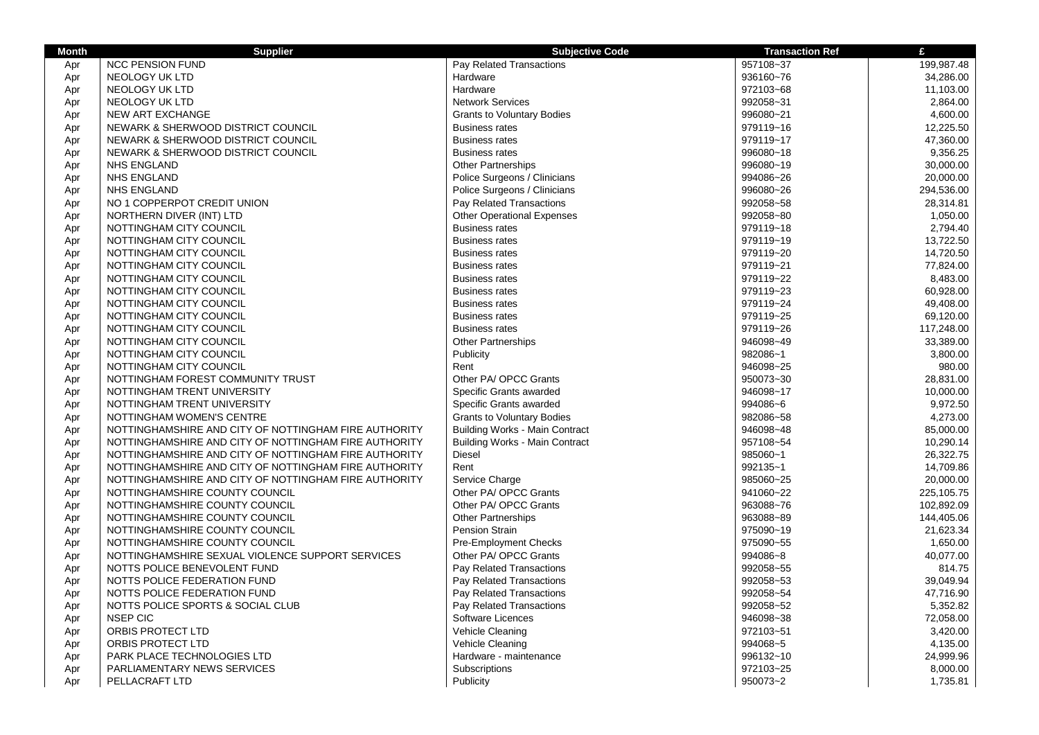| <b>Month</b> | <b>Supplier</b>                                       | <b>Subjective Code</b>                | <b>Transaction Ref</b> | £          |
|--------------|-------------------------------------------------------|---------------------------------------|------------------------|------------|
| Apr          | <b>NCC PENSION FUND</b>                               | Pay Related Transactions              | 957108~37              | 199,987.48 |
| Apr          | NEOLOGY UK LTD                                        | Hardware                              | 936160~76              | 34,286.00  |
| Apr          | NEOLOGY UK LTD                                        | Hardware                              | 972103~68              | 11,103.00  |
| Apr          | NEOLOGY UK LTD                                        | <b>Network Services</b>               | 992058~31              | 2,864.00   |
| Apr          | NEW ART EXCHANGE                                      | <b>Grants to Voluntary Bodies</b>     | 996080~21              | 4,600.00   |
| Apr          | NEWARK & SHERWOOD DISTRICT COUNCIL                    | <b>Business rates</b>                 | 979119~16              | 12,225.50  |
| Apr          | NEWARK & SHERWOOD DISTRICT COUNCIL                    | <b>Business rates</b>                 | 979119~17              | 47,360.00  |
| Apr          | NEWARK & SHERWOOD DISTRICT COUNCIL                    | <b>Business rates</b>                 | 996080~18              | 9,356.25   |
| Apr          | <b>NHS ENGLAND</b>                                    | <b>Other Partnerships</b>             | 996080~19              | 30,000.00  |
| Apr          | <b>NHS ENGLAND</b>                                    | Police Surgeons / Clinicians          | 994086~26              | 20,000.00  |
| Apr          | <b>NHS ENGLAND</b>                                    | Police Surgeons / Clinicians          | 996080~26              | 294,536.00 |
| Apr          | NO 1 COPPERPOT CREDIT UNION                           | Pay Related Transactions              | 992058~58              | 28,314.81  |
| Apr          | NORTHERN DIVER (INT) LTD                              | <b>Other Operational Expenses</b>     | 992058~80              | 1,050.00   |
| Apr          | NOTTINGHAM CITY COUNCIL                               | <b>Business rates</b>                 | 979119~18              | 2,794.40   |
| Apr          | NOTTINGHAM CITY COUNCIL                               | <b>Business rates</b>                 | 979119~19              | 13,722.50  |
| Apr          | NOTTINGHAM CITY COUNCIL                               | <b>Business rates</b>                 | 979119~20              | 14,720.50  |
| Apr          | NOTTINGHAM CITY COUNCIL                               | <b>Business rates</b>                 | 979119~21              | 77,824.00  |
| Apr          | NOTTINGHAM CITY COUNCIL                               | <b>Business rates</b>                 | 979119~22              | 8,483.00   |
| Apr          | NOTTINGHAM CITY COUNCIL                               | <b>Business rates</b>                 | 979119~23              | 60,928.00  |
| Apr          | NOTTINGHAM CITY COUNCIL                               | <b>Business rates</b>                 | 979119~24              | 49,408.00  |
| Apr          | NOTTINGHAM CITY COUNCIL                               | <b>Business rates</b>                 | 979119~25              | 69,120.00  |
| Apr          | NOTTINGHAM CITY COUNCIL                               | <b>Business rates</b>                 | 979119~26              | 117,248.00 |
| Apr          | NOTTINGHAM CITY COUNCIL                               | <b>Other Partnerships</b>             | 946098~49              | 33,389.00  |
| Apr          | NOTTINGHAM CITY COUNCIL                               | Publicity                             | 982086~1               | 3,800.00   |
| Apr          | NOTTINGHAM CITY COUNCIL                               | Rent                                  | 946098~25              | 980.00     |
| Apr          | NOTTINGHAM FOREST COMMUNITY TRUST                     | Other PA/ OPCC Grants                 | 950073~30              | 28,831.00  |
| Apr          | NOTTINGHAM TRENT UNIVERSITY                           | Specific Grants awarded               | 946098~17              | 10,000.00  |
| Apr          | NOTTINGHAM TRENT UNIVERSITY                           | Specific Grants awarded               | 994086~6               | 9,972.50   |
| Apr          | NOTTINGHAM WOMEN'S CENTRE                             | <b>Grants to Voluntary Bodies</b>     | 982086~58              | 4,273.00   |
| Apr          | NOTTINGHAMSHIRE AND CITY OF NOTTINGHAM FIRE AUTHORITY | <b>Building Works - Main Contract</b> | 946098~48              | 85,000.00  |
| Apr          | NOTTINGHAMSHIRE AND CITY OF NOTTINGHAM FIRE AUTHORITY | <b>Building Works - Main Contract</b> | 957108~54              | 10,290.14  |
| Apr          | NOTTINGHAMSHIRE AND CITY OF NOTTINGHAM FIRE AUTHORITY | <b>Diesel</b>                         | 985060~1               | 26,322.75  |
| Apr          | NOTTINGHAMSHIRE AND CITY OF NOTTINGHAM FIRE AUTHORITY | Rent                                  | 992135~1               | 14,709.86  |
| Apr          | NOTTINGHAMSHIRE AND CITY OF NOTTINGHAM FIRE AUTHORITY | Service Charge                        | 985060~25              | 20,000.00  |
| Apr          | NOTTINGHAMSHIRE COUNTY COUNCIL                        | Other PA/ OPCC Grants                 | 941060~22              | 225,105.75 |
| Apr          | NOTTINGHAMSHIRE COUNTY COUNCIL                        | Other PA/ OPCC Grants                 | 963088~76              | 102,892.09 |
| Apr          | NOTTINGHAMSHIRE COUNTY COUNCIL                        | <b>Other Partnerships</b>             | 963088~89              | 144,405.06 |
| Apr          | NOTTINGHAMSHIRE COUNTY COUNCIL                        | Pension Strain                        | 975090~19              | 21,623.34  |
| Apr          | NOTTINGHAMSHIRE COUNTY COUNCIL                        | <b>Pre-Employment Checks</b>          | 975090~55              | 1,650.00   |
| Apr          | NOTTINGHAMSHIRE SEXUAL VIOLENCE SUPPORT SERVICES      | Other PA/ OPCC Grants                 | 994086~8               | 40,077.00  |
| Apr          | NOTTS POLICE BENEVOLENT FUND                          | Pay Related Transactions              | 992058~55              | 814.75     |
| Apr          | NOTTS POLICE FEDERATION FUND                          | Pay Related Transactions              | 992058~53              | 39,049.94  |
| Apr          | NOTTS POLICE FEDERATION FUND                          | Pay Related Transactions              | 992058~54              | 47,716.90  |
| Apr          | NOTTS POLICE SPORTS & SOCIAL CLUB                     | Pay Related Transactions              | 992058~52              | 5,352.82   |
| Apr          | <b>NSEP CIC</b>                                       | Software Licences                     | 946098~38              | 72,058.00  |
| Apr          | ORBIS PROTECT LTD                                     | Vehicle Cleaning                      | 972103~51              | 3,420.00   |
| Apr          | ORBIS PROTECT LTD                                     | Vehicle Cleaning                      | 994068~5               | 4,135.00   |
| Apr          | PARK PLACE TECHNOLOGIES LTD                           | Hardware - maintenance                | 996132~10              | 24,999.96  |
| Apr          | PARLIAMENTARY NEWS SERVICES                           | Subscriptions                         | 972103~25              | 8,000.00   |
| Apr          | PELLACRAFT LTD                                        | Publicity                             | 950073~2               | 1,735.81   |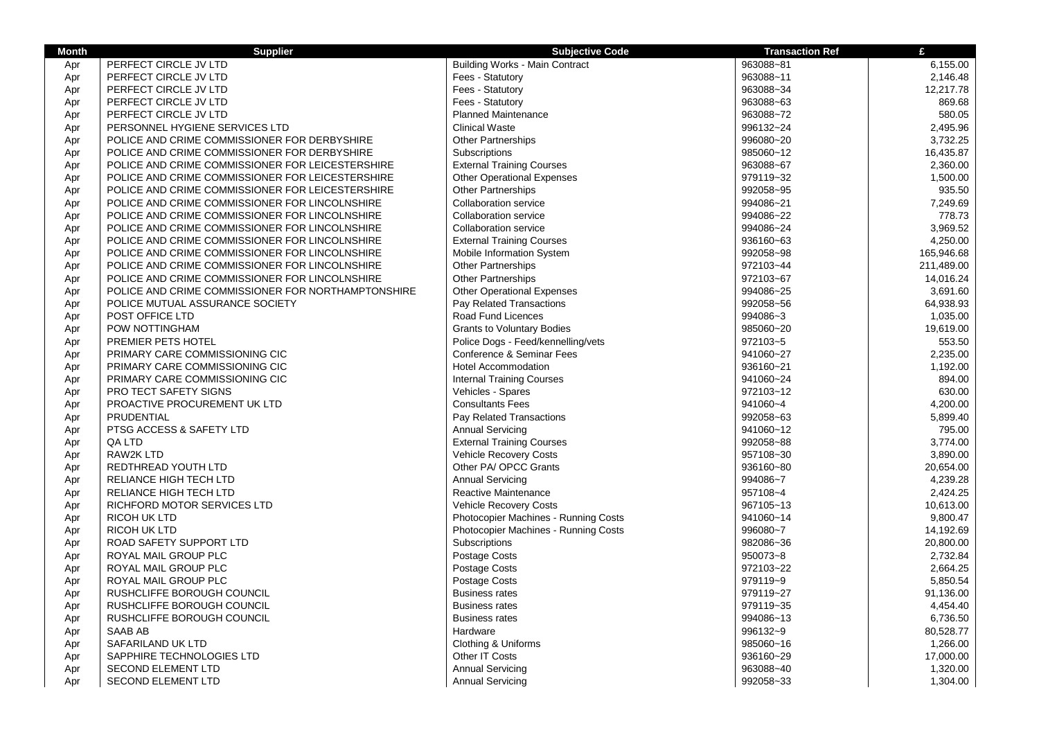| Month | <b>Supplier</b>                                    | <b>Subjective Code</b>                | <b>Transaction Ref</b> | £          |
|-------|----------------------------------------------------|---------------------------------------|------------------------|------------|
| Apr   | PERFECT CIRCLE JV LTD                              | <b>Building Works - Main Contract</b> | 963088~81              | 6,155.00   |
| Apr   | PERFECT CIRCLE JV LTD                              | Fees - Statutory                      | 963088~11              | 2,146.48   |
| Apr   | PERFECT CIRCLE JV LTD                              | Fees - Statutory                      | 963088~34              | 12,217.78  |
| Apr   | PERFECT CIRCLE JV LTD                              | Fees - Statutory                      | 963088~63              | 869.68     |
| Apr   | PERFECT CIRCLE JV LTD                              | <b>Planned Maintenance</b>            | 963088~72              | 580.05     |
| Apr   | PERSONNEL HYGIENE SERVICES LTD                     | <b>Clinical Waste</b>                 | 996132~24              | 2,495.96   |
| Apr   | POLICE AND CRIME COMMISSIONER FOR DERBYSHIRE       | Other Partnerships                    | 996080~20              | 3,732.25   |
| Apr   | POLICE AND CRIME COMMISSIONER FOR DERBYSHIRE       | Subscriptions                         | 985060~12              | 16,435.87  |
| Apr   | POLICE AND CRIME COMMISSIONER FOR LEICESTERSHIRE   | <b>External Training Courses</b>      | 963088~67              | 2,360.00   |
| Apr   | POLICE AND CRIME COMMISSIONER FOR LEICESTERSHIRE   | <b>Other Operational Expenses</b>     | 979119~32              | 1,500.00   |
| Apr   | POLICE AND CRIME COMMISSIONER FOR LEICESTERSHIRE   | Other Partnerships                    | 992058~95              | 935.50     |
| Apr   | POLICE AND CRIME COMMISSIONER FOR LINCOLNSHIRE     | Collaboration service                 | 994086~21              | 7,249.69   |
| Apr   | POLICE AND CRIME COMMISSIONER FOR LINCOLNSHIRE     | <b>Collaboration service</b>          | 994086~22              | 778.73     |
| Apr   | POLICE AND CRIME COMMISSIONER FOR LINCOLNSHIRE     | <b>Collaboration service</b>          | 994086~24              | 3,969.52   |
| Apr   | POLICE AND CRIME COMMISSIONER FOR LINCOLNSHIRE     | <b>External Training Courses</b>      | 936160~63              | 4,250.00   |
| Apr   | POLICE AND CRIME COMMISSIONER FOR LINCOLNSHIRE     | Mobile Information System             | 992058~98              | 165,946.68 |
| Apr   | POLICE AND CRIME COMMISSIONER FOR LINCOLNSHIRE     | <b>Other Partnerships</b>             | 972103~44              | 211,489.00 |
| Apr   | POLICE AND CRIME COMMISSIONER FOR LINCOLNSHIRE     | <b>Other Partnerships</b>             | 972103~67              | 14,016.24  |
| Apr   | POLICE AND CRIME COMMISSIONER FOR NORTHAMPTONSHIRE | <b>Other Operational Expenses</b>     | 994086~25              | 3,691.60   |
| Apr   | POLICE MUTUAL ASSURANCE SOCIETY                    | Pay Related Transactions              | 992058~56              | 64,938.93  |
| Apr   | POST OFFICE LTD                                    | Road Fund Licences                    | 994086~3               | 1,035.00   |
| Apr   | POW NOTTINGHAM                                     | <b>Grants to Voluntary Bodies</b>     | 985060~20              | 19,619.00  |
| Apr   | PREMIER PETS HOTEL                                 | Police Dogs - Feed/kennelling/vets    | 972103~5               | 553.50     |
| Apr   | PRIMARY CARE COMMISSIONING CIC                     | Conference & Seminar Fees             | 941060~27              | 2,235.00   |
| Apr   | PRIMARY CARE COMMISSIONING CIC                     | <b>Hotel Accommodation</b>            | 936160~21              | 1,192.00   |
| Apr   | PRIMARY CARE COMMISSIONING CIC                     | <b>Internal Training Courses</b>      | 941060~24              | 894.00     |
| Apr   | PRO TECT SAFETY SIGNS                              | Vehicles - Spares                     | 972103~12              | 630.00     |
| Apr   | PROACTIVE PROCUREMENT UK LTD                       | <b>Consultants Fees</b>               | 941060~4               | 4,200.00   |
| Apr   | PRUDENTIAL                                         | Pay Related Transactions              | 992058~63              | 5,899.40   |
| Apr   | PTSG ACCESS & SAFETY LTD                           | <b>Annual Servicing</b>               | 941060~12              | 795.00     |
| Apr   | QA LTD                                             | <b>External Training Courses</b>      | 992058~88              | 3,774.00   |
| Apr   | RAW2K LTD                                          | <b>Vehicle Recovery Costs</b>         | 957108~30              | 3,890.00   |
| Apr   | REDTHREAD YOUTH LTD                                | Other PA/ OPCC Grants                 | 936160~80              | 20,654.00  |
| Apr   | RELIANCE HIGH TECH LTD                             | <b>Annual Servicing</b>               | 994086~7               | 4,239.28   |
| Apr   | RELIANCE HIGH TECH LTD                             | Reactive Maintenance                  | 957108~4               | 2,424.25   |
| Apr   | RICHFORD MOTOR SERVICES LTD                        | <b>Vehicle Recovery Costs</b>         | 967105~13              | 10,613.00  |
| Apr   | <b>RICOH UK LTD</b>                                | Photocopier Machines - Running Costs  | 941060~14              | 9,800.47   |
| Apr   | <b>RICOH UK LTD</b>                                | Photocopier Machines - Running Costs  | 996080~7               | 14,192.69  |
| Apr   | ROAD SAFETY SUPPORT LTD                            | <b>Subscriptions</b>                  | 982086~36              | 20,800.00  |
| Apr   | ROYAL MAIL GROUP PLC                               | Postage Costs                         | 950073~8               | 2,732.84   |
| Apr   | ROYAL MAIL GROUP PLC                               | Postage Costs                         | 972103~22              | 2,664.25   |
| Apr   | ROYAL MAIL GROUP PLC                               | Postage Costs                         | 979119~9               | 5,850.54   |
| Apr   | RUSHCLIFFE BOROUGH COUNCIL                         | <b>Business rates</b>                 | 979119~27              | 91,136.00  |
| Apr   | RUSHCLIFFE BOROUGH COUNCIL                         | <b>Business rates</b>                 | 979119~35              | 4,454.40   |
| Apr   | RUSHCLIFFE BOROUGH COUNCIL                         | <b>Business rates</b>                 | 994086~13              | 6,736.50   |
| Apr   | <b>SAAB AB</b>                                     | Hardware                              | 996132~9               | 80,528.77  |
| Apr   | SAFARILAND UK LTD                                  | Clothing & Uniforms                   | 985060~16              | 1,266.00   |
| Apr   | SAPPHIRE TECHNOLOGIES LTD                          | Other IT Costs                        | 936160~29              | 17,000.00  |
| Apr   | <b>SECOND ELEMENT LTD</b>                          | <b>Annual Servicing</b>               | 963088~40              | 1,320.00   |
| Apr   | <b>SECOND ELEMENT LTD</b>                          | <b>Annual Servicing</b>               | 992058~33              | 1,304.00   |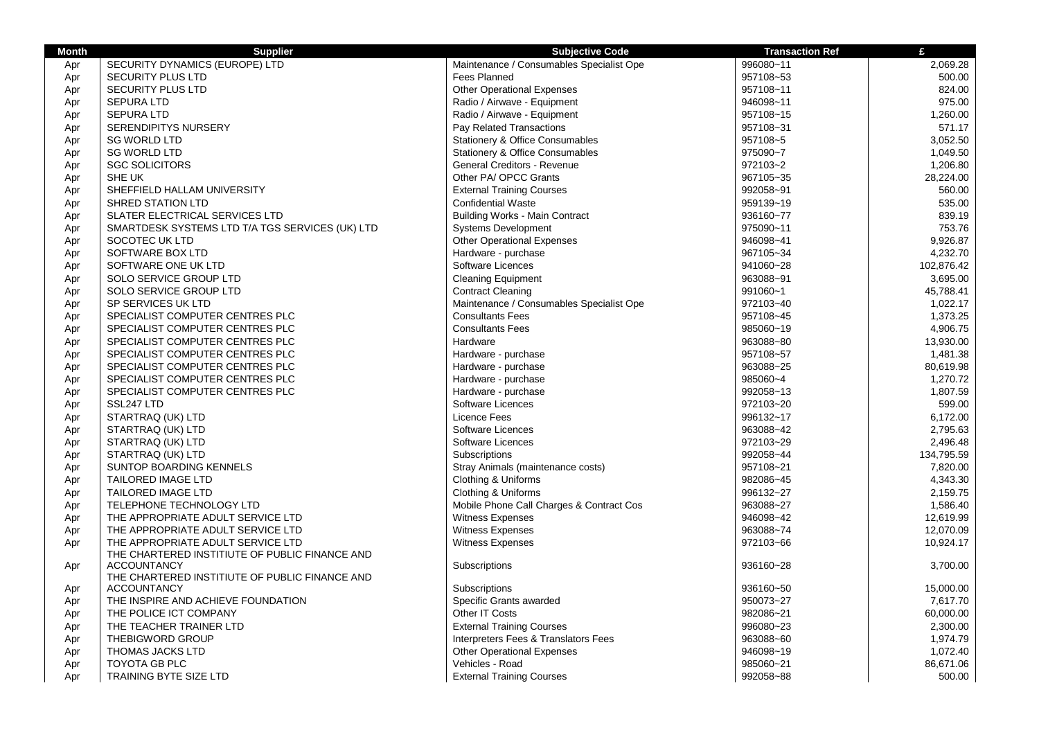| <b>Month</b> | <b>Supplier</b>                                                                     | <b>Subjective Code</b>                     | <b>Transaction Ref</b> | £          |
|--------------|-------------------------------------------------------------------------------------|--------------------------------------------|------------------------|------------|
| Apr          | SECURITY DYNAMICS (EUROPE) LTD                                                      | Maintenance / Consumables Specialist Ope   | 996080~11              | 2,069.28   |
| Apr          | SECURITY PLUS LTD                                                                   | <b>Fees Planned</b>                        | 957108~53              | 500.00     |
| Apr          | <b>SECURITY PLUS LTD</b>                                                            | <b>Other Operational Expenses</b>          | 957108~11              | 824.00     |
| Apr          | <b>SEPURA LTD</b>                                                                   | Radio / Airwave - Equipment                | 946098~11              | 975.00     |
| Apr          | <b>SEPURA LTD</b>                                                                   | Radio / Airwave - Equipment                | 957108~15              | 1,260.00   |
| Apr          | <b>SERENDIPITYS NURSERY</b>                                                         | Pay Related Transactions                   | 957108~31              | 571.17     |
| Apr          | <b>SG WORLD LTD</b>                                                                 | <b>Stationery &amp; Office Consumables</b> | 957108~5               | 3,052.50   |
| Apr          | <b>SG WORLD LTD</b>                                                                 | Stationery & Office Consumables            | 975090~7               | 1,049.50   |
| Apr          | <b>SGC SOLICITORS</b>                                                               | General Creditors - Revenue                | 972103~2               | 1,206.80   |
| Apr          | SHE UK                                                                              | Other PA/ OPCC Grants                      | 967105~35              | 28,224.00  |
| Apr          | SHEFFIELD HALLAM UNIVERSITY                                                         | <b>External Training Courses</b>           | 992058~91              | 560.00     |
| Apr          | <b>SHRED STATION LTD</b>                                                            | <b>Confidential Waste</b>                  | 959139~19              | 535.00     |
| Apr          | SLATER ELECTRICAL SERVICES LTD                                                      | <b>Building Works - Main Contract</b>      | 936160~77              | 839.19     |
| Apr          | SMARTDESK SYSTEMS LTD T/A TGS SERVICES (UK) LTD                                     | <b>Systems Development</b>                 | 975090~11              | 753.76     |
| Apr          | SOCOTEC UK LTD                                                                      | <b>Other Operational Expenses</b>          | 946098~41              | 9.926.87   |
| Apr          | SOFTWARE BOX LTD                                                                    | Hardware - purchase                        | 967105~34              | 4,232.70   |
| Apr          | SOFTWARE ONE UK LTD                                                                 | Software Licences                          | 941060~28              | 102,876.42 |
| Apr          | SOLO SERVICE GROUP LTD                                                              | <b>Cleaning Equipment</b>                  | 963088~91              | 3,695.00   |
| Apr          | SOLO SERVICE GROUP LTD                                                              | <b>Contract Cleaning</b>                   | 991060~1               | 45,788.41  |
| Apr          | SP SERVICES UK LTD                                                                  | Maintenance / Consumables Specialist Ope   | 972103~40              | 1,022.17   |
| Apr          | SPECIALIST COMPUTER CENTRES PLC                                                     | <b>Consultants Fees</b>                    | 957108~45              | 1,373.25   |
| Apr          | SPECIALIST COMPUTER CENTRES PLC                                                     | <b>Consultants Fees</b>                    | 985060~19              | 4,906.75   |
| Apr          | SPECIALIST COMPUTER CENTRES PLC                                                     | Hardware                                   | 963088~80              | 13,930.00  |
| Apr          | SPECIALIST COMPUTER CENTRES PLC                                                     | Hardware - purchase                        | 957108~57              | 1,481.38   |
| Apr          | SPECIALIST COMPUTER CENTRES PLC                                                     | Hardware - purchase                        | 963088~25              | 80,619.98  |
| Apr          | SPECIALIST COMPUTER CENTRES PLC                                                     | Hardware - purchase                        | 985060~4               | 1,270.72   |
| Apr          | SPECIALIST COMPUTER CENTRES PLC                                                     | Hardware - purchase                        | 992058~13              | 1,807.59   |
| Apr          | SSL247 LTD                                                                          | Software Licences                          | 972103~20              | 599.00     |
| Apr          | STARTRAQ (UK) LTD                                                                   | <b>Licence Fees</b>                        | 996132~17              | 6,172.00   |
| Apr          | STARTRAQ (UK) LTD                                                                   | Software Licences                          | 963088~42              | 2,795.63   |
| Apr          | STARTRAQ (UK) LTD                                                                   | Software Licences                          | 972103~29              | 2,496.48   |
| Apr          | STARTRAQ (UK) LTD                                                                   | Subscriptions                              | 992058~44              | 134,795.59 |
| Apr          | <b>SUNTOP BOARDING KENNELS</b>                                                      | Stray Animals (maintenance costs)          | 957108~21              | 7.820.00   |
| Apr          | <b>TAILORED IMAGE LTD</b>                                                           | Clothing & Uniforms                        | 982086~45              | 4,343.30   |
| Apr          | TAILORED IMAGE LTD                                                                  | Clothing & Uniforms                        | 996132~27              | 2,159.75   |
| Apr          | TELEPHONE TECHNOLOGY LTD                                                            | Mobile Phone Call Charges & Contract Cos   | 963088~27              | 1,586.40   |
| Apr          | THE APPROPRIATE ADULT SERVICE LTD                                                   | <b>Witness Expenses</b>                    | 946098~42              | 12,619.99  |
| Apr          | THE APPROPRIATE ADULT SERVICE LTD                                                   | Witness Expenses                           | 963088~74              | 12,070.09  |
| Apr          | THE APPROPRIATE ADULT SERVICE LTD<br>THE CHARTERED INSTITIUTE OF PUBLIC FINANCE AND | <b>Witness Expenses</b>                    | 972103~66              | 10,924.17  |
| Apr          | <b>ACCOUNTANCY</b>                                                                  | Subscriptions                              | 936160~28              | 3,700.00   |
|              | THE CHARTERED INSTITIUTE OF PUBLIC FINANCE AND                                      |                                            |                        |            |
| Apr          | <b>ACCOUNTANCY</b>                                                                  | Subscriptions                              | 936160~50              | 15,000.00  |
| Apr          | THE INSPIRE AND ACHIEVE FOUNDATION                                                  | Specific Grants awarded                    | 950073~27              | 7,617.70   |
| Apr          | THE POLICE ICT COMPANY                                                              | Other IT Costs                             | 982086~21              | 60,000.00  |
| Apr          | THE TEACHER TRAINER LTD                                                             | <b>External Training Courses</b>           | 996080~23              | 2,300.00   |
| Apr          | THEBIGWORD GROUP                                                                    | Interpreters Fees & Translators Fees       | 963088~60              | 1.974.79   |
| Apr          | THOMAS JACKS LTD                                                                    | <b>Other Operational Expenses</b>          | 946098~19              | 1,072.40   |
| Apr          | TOYOTA GB PLC                                                                       | Vehicles - Road                            | 985060~21              | 86,671.06  |
| Apr          | TRAINING BYTE SIZE LTD                                                              | <b>External Training Courses</b>           | 992058~88              | 500.00     |